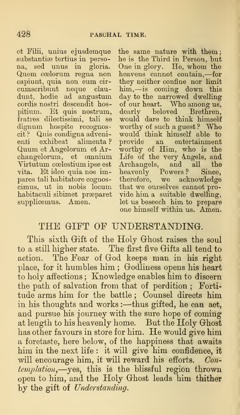et Filii, unius ejusdemque substantiæ tertius in persona, sed unus in gloria. Quem coelorum regna non capiunt, quia non eum circumscribunt neque claudunt, hodie ad angustum cordis nostri descendit hospitium. Et quis nostrum, fratres dilectissimi, tali se dignum hospite recognoscit ? Quis condigna advenienti exhibeat alimenta ? provide<br>Quum et Angelorum et Ar- worthy c changelorum, et omnium Yirtutum coelestium ipse est vita. Et ideo quia nos impares tali habitatore cognoscimus, ut in nobis locum habitaculi sibimet prseparet supplicemus. Amen.

the same nature with them he is the Third in Person, but One in glory. He, whom the heavens cannot contain,—for they neither confine nor limit him,—is coming down this day to the narrowed dwelling of our heart. Who among us, dearly beloved Brethren, would dare to think himself worthy of such <sup>a</sup> guest ? Who would think himself able to an entertainment worthy of Him, who is the Life of the very Angels, and Archangels, and all the heavenly Powers? Since, therefore, we acknowledge that we ourselves cannot provide him a suitable dwelling, let us beseech him to prepare one himself within us. Amen.

## THE GIFT OF UNDERSTANDING.

This sixth Gift of the Holy Ghost raises the soul to a still higher state. The first five Gifts all tend to action. The Fear of God keeps man in his right place, for it humbles him; Godliness opens his heart to holy affections ; Knowledge enables him to discern the path of salvation from that of perdition ; Fortitude arms him for the battle ; Counsel directs him in his thoughts and works: —thus gifted, he can act, and pursue his journey with the sure hope of coming at length to his heavenly home. But the Holy Ghost has other favours in store for him. He would give him a foretaste, here below, of the happiness that awaits him in the next life : it will give him confidence, it will encourage him, it will reward his efforts. Contemplation,—yes, this is the blissful region thrown open to him, and the Holy Ghost leads him thither by the gift of Understanding.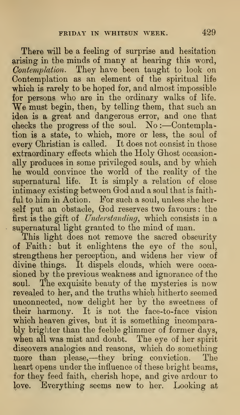There will be a feeling of surprise and hesitation arising in the minds of many at hearing this word, Contemplation. They have been taught to look on Contemplation as an element of the spiritual life which is rarely to be hoped for, and almost impossible for persons who are in the ordinary walks of life. We must begin, then, by telling them, that such an idea is a great and dangerous error, and one that checks the progress of the soul. No:-Contemplation is a state, to which, more or less, the soul of every Christian is called. It does not consist in those extraordinary effects which the Holy Ghost occasionally produces in some privileged souls, and by which he would convince the world of the reality of the supernatural life. It is simply a relation of close intimacy existing between God and a soul that is faithful to him in Action. For such a soul, unless she herself put an obstacle, God reserves two favours: the first is the gift of Understanding, which consists in a supernatural light granted to the mind of man.

This light does not remove the sacred obscurity of Faith : but it enlightens the eye of the soul, strengthens her perception, and widens her view of divine things. It dispels clouds, which were occa sioned by the previous weakness and ignorance of the soul. The exquisite beauty of the mysteries is now revealed to her, and the truths which hitherto seemed unconnected, now delight her by the sweetness of their harmony. It is not the face-to-face vision which heaven gives, but it is something incomparably brighter than the feeble glimmer of former days, when all was mist and doubt. The eye of her spirit discovers analogies and reasons, which do something more than please,-they bring conviction. The heart opens under the influence of these bright beams, for they feed faith, cherish hope, and give ardour to love. Everything seems new to her. Looking at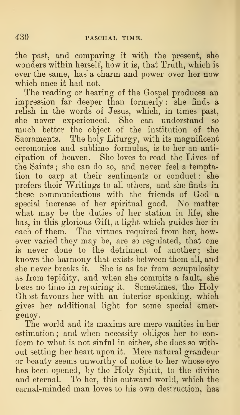the past, and comparing it with the present, she wonders within herself, how it is, that Truth, which is ever the same, has a charm and power over her now which once it had not.

The reading or hearing of the Gospel produces an impression far deeper than formerly : she finds a relish in the words of Jesus, which, in times past, she never experienced. She can understand so much better the object of the institution of the Sacraments. The holy Liturgy, with its magnificent ceremonies and sublime formulas, is to her an anticipation of heaven. She loves to read the Lives of the Saints ; she can do so, and never feel a temptation to carp at their sentiments or conduct: she prefers their Writings to all others, and she finds in these communications with the friends of God a special increase of her spiritual good. No matter what may be the duties of her station in life, she has, in this glorious Gift, a light which guides her in each of them. The virtues required from her, however varied they may be, are so regulated, that one is never done to the detriment of another; she knows the harmony that exists between them all, and she never breaks it. She is as far from scrupulosity as from tepidity, and when she commits a fault, she loses no time in repairing it. Sometimes, the Holy Ghost favours her with an interior speaking, which gives her additional light for some special emergency.

The world and its maxims are mere vanities in her estimation ; and when necessity obliges her to con form to what is not sinful in either, she does so without setting her heart upon it. Mere natural grandeur or beauty seems unworthy of notice to her whose eye has been opened, by the Holy Spirit, to the divine and eternal. To her, this outward world, which the carnal-minded man loves to his own destruction, has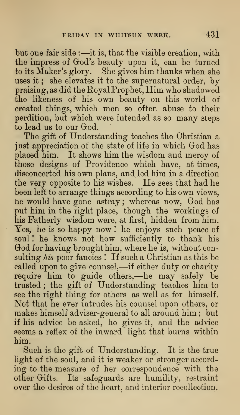but one fair side :—it is, that the visible creation, with the impress of God's beauty upon it, can be turned to its Maker's glory. She gives him thanks when she uses it ; she elevates it to the supernatural order, by praising, as did the Royal Prophet, Him who shadowed the likeness of his own beauty on this world of created things, which men so often abuse to their perdition, but which were intended as so many steps to lead us to our God.

The gift of Understanding teaches the Christian a just appreciation of the state of life in which God has placed him. It shows him the wisdom and mercy of those designs of Providence which have, at times, disconcerted his own plans, and led him in a direction the very opposite to his wishes. He sees that had he been left to arrange things according to his own views, he would have gone astray; whereas now, God has put him in the right place, though the workings of his Fatherly wisdom were, at first, hidden from him Yes, he is so happy now ! he enjoys such peace of soul! he knows not how sufficiently to thank his God for having brought him, where he is, without consulting his poor fancies ! If such a Christian as this be called upon to give counsel,—if either duty or charity require him to guide others,—he may safely be trusted ; the gift of Understanding teaches him to see the right thing for others as well as for himself. Not that he ever intrudes his counsel upon others, or makes himself adviser-general to all around him ; but if his advice be asked, he gives it, and the advice seems a reflex of the inward light that burns within him.

Such is the gift of Understanding. It is the true light of the soul, and it is weaker or stronger according to the measure of her correspondence with the other Grifts. Its safeguards are humility, restraint over the desires of the heart, and interior recollection.